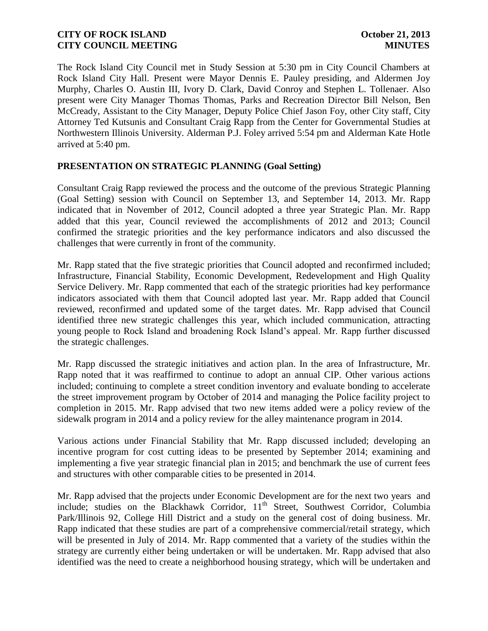The Rock Island City Council met in Study Session at 5:30 pm in City Council Chambers at Rock Island City Hall. Present were Mayor Dennis E. Pauley presiding, and Aldermen Joy Murphy, Charles O. Austin III, Ivory D. Clark, David Conroy and Stephen L. Tollenaer. Also present were City Manager Thomas Thomas, Parks and Recreation Director Bill Nelson, Ben McCready, Assistant to the City Manager, Deputy Police Chief Jason Foy, other City staff, City Attorney Ted Kutsunis and Consultant Craig Rapp from the Center for Governmental Studies at Northwestern Illinois University. Alderman P.J. Foley arrived 5:54 pm and Alderman Kate Hotle arrived at 5:40 pm.

# **PRESENTATION ON STRATEGIC PLANNING (Goal Setting)**

Consultant Craig Rapp reviewed the process and the outcome of the previous Strategic Planning (Goal Setting) session with Council on September 13, and September 14, 2013. Mr. Rapp indicated that in November of 2012, Council adopted a three year Strategic Plan. Mr. Rapp added that this year, Council reviewed the accomplishments of 2012 and 2013; Council confirmed the strategic priorities and the key performance indicators and also discussed the challenges that were currently in front of the community.

Mr. Rapp stated that the five strategic priorities that Council adopted and reconfirmed included; Infrastructure, Financial Stability, Economic Development, Redevelopment and High Quality Service Delivery. Mr. Rapp commented that each of the strategic priorities had key performance indicators associated with them that Council adopted last year. Mr. Rapp added that Council reviewed, reconfirmed and updated some of the target dates. Mr. Rapp advised that Council identified three new strategic challenges this year, which included communication, attracting young people to Rock Island and broadening Rock Island's appeal. Mr. Rapp further discussed the strategic challenges.

Mr. Rapp discussed the strategic initiatives and action plan. In the area of Infrastructure, Mr. Rapp noted that it was reaffirmed to continue to adopt an annual CIP. Other various actions included; continuing to complete a street condition inventory and evaluate bonding to accelerate the street improvement program by October of 2014 and managing the Police facility project to completion in 2015. Mr. Rapp advised that two new items added were a policy review of the sidewalk program in 2014 and a policy review for the alley maintenance program in 2014.

Various actions under Financial Stability that Mr. Rapp discussed included; developing an incentive program for cost cutting ideas to be presented by September 2014; examining and implementing a five year strategic financial plan in 2015; and benchmark the use of current fees and structures with other comparable cities to be presented in 2014.

Mr. Rapp advised that the projects under Economic Development are for the next two years and include; studies on the Blackhawk Corridor, 11<sup>th</sup> Street, Southwest Corridor, Columbia Park/Illinois 92, College Hill District and a study on the general cost of doing business. Mr. Rapp indicated that these studies are part of a comprehensive commercial/retail strategy, which will be presented in July of 2014. Mr. Rapp commented that a variety of the studies within the strategy are currently either being undertaken or will be undertaken. Mr. Rapp advised that also identified was the need to create a neighborhood housing strategy, which will be undertaken and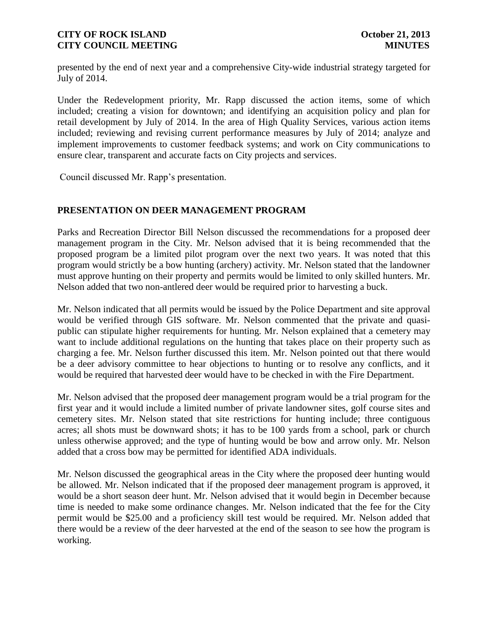presented by the end of next year and a comprehensive City-wide industrial strategy targeted for July of 2014.

Under the Redevelopment priority, Mr. Rapp discussed the action items, some of which included; creating a vision for downtown; and identifying an acquisition policy and plan for retail development by July of 2014. In the area of High Quality Services, various action items included; reviewing and revising current performance measures by July of 2014; analyze and implement improvements to customer feedback systems; and work on City communications to ensure clear, transparent and accurate facts on City projects and services.

Council discussed Mr. Rapp's presentation.

# **PRESENTATION ON DEER MANAGEMENT PROGRAM**

Parks and Recreation Director Bill Nelson discussed the recommendations for a proposed deer management program in the City. Mr. Nelson advised that it is being recommended that the proposed program be a limited pilot program over the next two years. It was noted that this program would strictly be a bow hunting (archery) activity. Mr. Nelson stated that the landowner must approve hunting on their property and permits would be limited to only skilled hunters. Mr. Nelson added that two non-antlered deer would be required prior to harvesting a buck.

Mr. Nelson indicated that all permits would be issued by the Police Department and site approval would be verified through GIS software. Mr. Nelson commented that the private and quasipublic can stipulate higher requirements for hunting. Mr. Nelson explained that a cemetery may want to include additional regulations on the hunting that takes place on their property such as charging a fee. Mr. Nelson further discussed this item. Mr. Nelson pointed out that there would be a deer advisory committee to hear objections to hunting or to resolve any conflicts, and it would be required that harvested deer would have to be checked in with the Fire Department.

Mr. Nelson advised that the proposed deer management program would be a trial program for the first year and it would include a limited number of private landowner sites, golf course sites and cemetery sites. Mr. Nelson stated that site restrictions for hunting include; three contiguous acres; all shots must be downward shots; it has to be 100 yards from a school, park or church unless otherwise approved; and the type of hunting would be bow and arrow only. Mr. Nelson added that a cross bow may be permitted for identified ADA individuals.

Mr. Nelson discussed the geographical areas in the City where the proposed deer hunting would be allowed. Mr. Nelson indicated that if the proposed deer management program is approved, it would be a short season deer hunt. Mr. Nelson advised that it would begin in December because time is needed to make some ordinance changes. Mr. Nelson indicated that the fee for the City permit would be \$25.00 and a proficiency skill test would be required. Mr. Nelson added that there would be a review of the deer harvested at the end of the season to see how the program is working.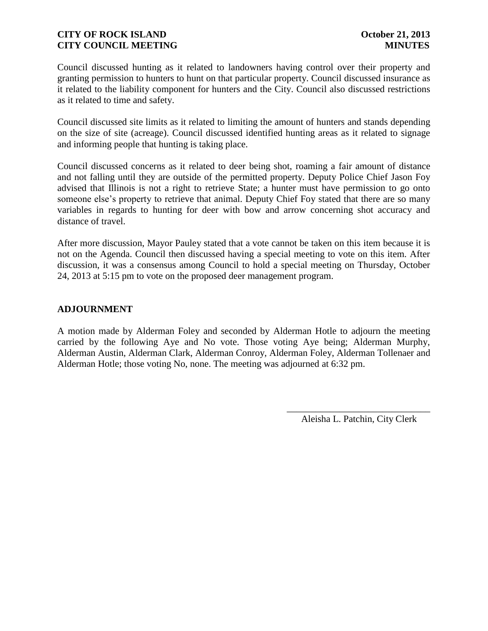Council discussed hunting as it related to landowners having control over their property and granting permission to hunters to hunt on that particular property. Council discussed insurance as it related to the liability component for hunters and the City. Council also discussed restrictions as it related to time and safety.

Council discussed site limits as it related to limiting the amount of hunters and stands depending on the size of site (acreage). Council discussed identified hunting areas as it related to signage and informing people that hunting is taking place.

Council discussed concerns as it related to deer being shot, roaming a fair amount of distance and not falling until they are outside of the permitted property. Deputy Police Chief Jason Foy advised that Illinois is not a right to retrieve State; a hunter must have permission to go onto someone else's property to retrieve that animal. Deputy Chief Foy stated that there are so many variables in regards to hunting for deer with bow and arrow concerning shot accuracy and distance of travel.

After more discussion, Mayor Pauley stated that a vote cannot be taken on this item because it is not on the Agenda. Council then discussed having a special meeting to vote on this item. After discussion, it was a consensus among Council to hold a special meeting on Thursday, October 24, 2013 at 5:15 pm to vote on the proposed deer management program.

# **ADJOURNMENT**

A motion made by Alderman Foley and seconded by Alderman Hotle to adjourn the meeting carried by the following Aye and No vote. Those voting Aye being; Alderman Murphy, Alderman Austin, Alderman Clark, Alderman Conroy, Alderman Foley, Alderman Tollenaer and Alderman Hotle; those voting No, none. The meeting was adjourned at 6:32 pm.

> \_\_\_\_\_\_\_\_\_\_\_\_\_\_\_\_\_\_\_\_\_\_\_\_\_\_\_\_\_\_ Aleisha L. Patchin, City Clerk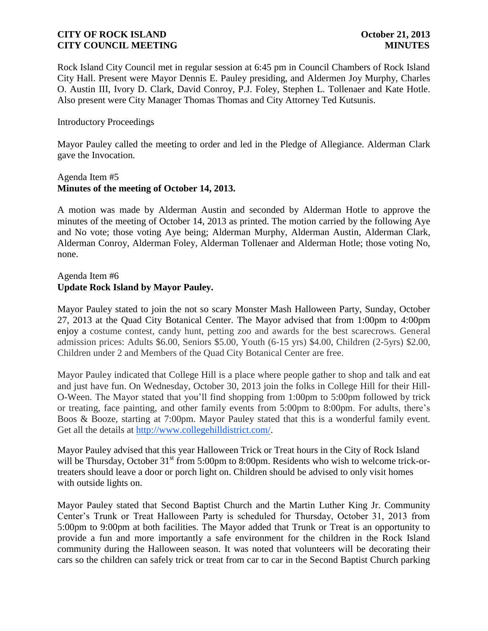Rock Island City Council met in regular session at 6:45 pm in Council Chambers of Rock Island City Hall. Present were Mayor Dennis E. Pauley presiding, and Aldermen Joy Murphy, Charles O. Austin III, Ivory D. Clark, David Conroy, P.J. Foley, Stephen L. Tollenaer and Kate Hotle. Also present were City Manager Thomas Thomas and City Attorney Ted Kutsunis.

### Introductory Proceedings

Mayor Pauley called the meeting to order and led in the Pledge of Allegiance. Alderman Clark gave the Invocation.

### Agenda Item #5 **Minutes of the meeting of October 14, 2013.**

A motion was made by Alderman Austin and seconded by Alderman Hotle to approve the minutes of the meeting of October 14, 2013 as printed. The motion carried by the following Aye and No vote; those voting Aye being; Alderman Murphy, Alderman Austin, Alderman Clark, Alderman Conroy, Alderman Foley, Alderman Tollenaer and Alderman Hotle; those voting No, none.

# Agenda Item #6 **Update Rock Island by Mayor Pauley.**

Mayor Pauley stated to join the not so scary Monster Mash Halloween Party, Sunday, October 27, 2013 at the Quad City Botanical Center. The Mayor advised that from 1:00pm to 4:00pm enjoy a costume contest, candy hunt, petting zoo and awards for the best scarecrows. General admission prices: Adults \$6.00, Seniors \$5.00, Youth (6-15 yrs) \$4.00, Children (2-5yrs) \$2.00, Children under 2 and Members of the Quad City Botanical Center are free.

Mayor Pauley indicated that College Hill is a place where people gather to shop and talk and eat and just have fun. On Wednesday, October 30, 2013 join the folks in College Hill for their Hill-O-Ween. The Mayor stated that you'll find shopping from 1:00pm to 5:00pm followed by trick or treating, face painting, and other family events from 5:00pm to 8:00pm. For adults, there's Boos & Booze, starting at 7:00pm. Mayor Pauley stated that this is a wonderful family event. Get all the details at [http://www.collegehilldistrict.com/.](http://www.collegehilldistrict.com/)

Mayor Pauley advised that this year Halloween Trick or Treat hours in the City of Rock Island will be Thursday, October 31<sup>st</sup> from 5:00pm to 8:00pm. Residents who wish to welcome trick-ortreaters should leave a door or porch light on. Children should be advised to only visit homes with outside lights on.

Mayor Pauley stated that Second Baptist Church and the Martin Luther King Jr. Community Center's Trunk or Treat Halloween Party is scheduled for Thursday, October 31, 2013 from 5:00pm to 9:00pm at both facilities. The Mayor added that Trunk or Treat is an opportunity to provide a fun and more importantly a safe environment for the children in the Rock Island community during the Halloween season. It was noted that volunteers will be decorating their cars so the children can safely trick or treat from car to car in the Second Baptist Church parking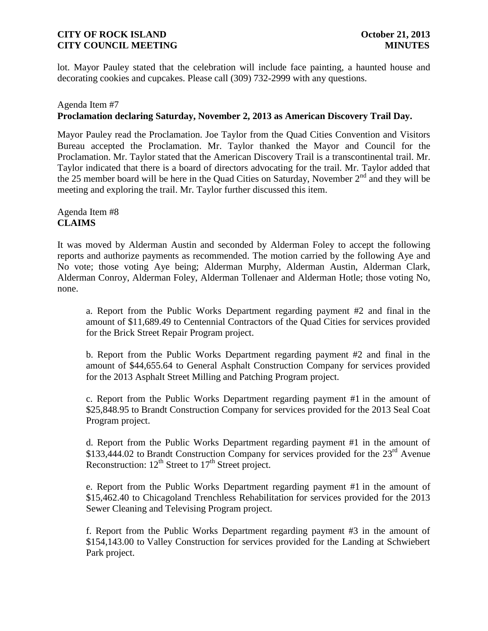lot. Mayor Pauley stated that the celebration will include face painting, a haunted house and decorating cookies and cupcakes. Please call (309) 732-2999 with any questions.

#### Agenda Item #7

# **Proclamation declaring Saturday, November 2, 2013 as American Discovery Trail Day.**

Mayor Pauley read the Proclamation. Joe Taylor from the Quad Cities Convention and Visitors Bureau accepted the Proclamation. Mr. Taylor thanked the Mayor and Council for the Proclamation. Mr. Taylor stated that the American Discovery Trail is a transcontinental trail. Mr. Taylor indicated that there is a board of directors advocating for the trail. Mr. Taylor added that the 25 member board will be here in the Quad Cities on Saturday, November 2<sup>nd</sup> and they will be meeting and exploring the trail. Mr. Taylor further discussed this item.

Agenda Item #8 **CLAIMS**

It was moved by Alderman Austin and seconded by Alderman Foley to accept the following reports and authorize payments as recommended. The motion carried by the following Aye and No vote; those voting Aye being; Alderman Murphy, Alderman Austin, Alderman Clark, Alderman Conroy, Alderman Foley, Alderman Tollenaer and Alderman Hotle; those voting No, none.

a. Report from the Public Works Department regarding payment #2 and final in the amount of \$11,689.49 to Centennial Contractors of the Quad Cities for services provided for the Brick Street Repair Program project.

b. Report from the Public Works Department regarding payment #2 and final in the amount of \$44,655.64 to General Asphalt Construction Company for services provided for the 2013 Asphalt Street Milling and Patching Program project.

c. Report from the Public Works Department regarding payment #1 in the amount of \$25,848.95 to Brandt Construction Company for services provided for the 2013 Seal Coat Program project.

d. Report from the Public Works Department regarding payment #1 in the amount of \$133,444.02 to Brandt Construction Company for services provided for the  $23<sup>rd</sup>$  Avenue Reconstruction:  $12^{th}$  Street to  $17^{th}$  Street project.

e. Report from the Public Works Department regarding payment #1 in the amount of \$15,462.40 to Chicagoland Trenchless Rehabilitation for services provided for the 2013 Sewer Cleaning and Televising Program project.

f. Report from the Public Works Department regarding payment #3 in the amount of \$154,143.00 to Valley Construction for services provided for the Landing at Schwiebert Park project.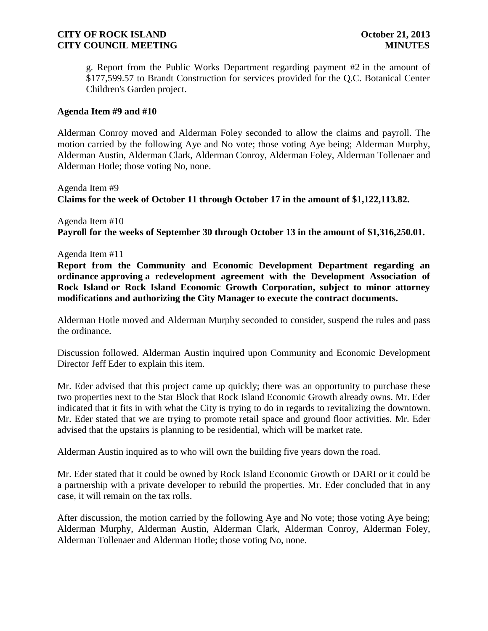g. Report from the Public Works Department regarding payment #2 in the amount of \$177,599.57 to Brandt Construction for services provided for the Q.C. Botanical Center Children's Garden project.

### **Agenda Item #9 and #10**

Alderman Conroy moved and Alderman Foley seconded to allow the claims and payroll. The motion carried by the following Aye and No vote; those voting Aye being; Alderman Murphy, Alderman Austin, Alderman Clark, Alderman Conroy, Alderman Foley, Alderman Tollenaer and Alderman Hotle; those voting No, none.

Agenda Item #9 **Claims for the week of October 11 through October 17 in the amount of \$1,122,113.82.** 

Agenda Item #10 **Payroll for the weeks of September 30 through October 13 in the amount of \$1,316,250.01.** 

Agenda Item #11

**Report from the Community and Economic Development Department regarding an ordinance approving a redevelopment agreement with the Development Association of Rock Island or Rock Island Economic Growth Corporation, subject to minor attorney modifications and authorizing the City Manager to execute the contract documents.**

Alderman Hotle moved and Alderman Murphy seconded to consider, suspend the rules and pass the ordinance.

Discussion followed. Alderman Austin inquired upon Community and Economic Development Director Jeff Eder to explain this item.

Mr. Eder advised that this project came up quickly; there was an opportunity to purchase these two properties next to the Star Block that Rock Island Economic Growth already owns. Mr. Eder indicated that it fits in with what the City is trying to do in regards to revitalizing the downtown. Mr. Eder stated that we are trying to promote retail space and ground floor activities. Mr. Eder advised that the upstairs is planning to be residential, which will be market rate.

Alderman Austin inquired as to who will own the building five years down the road.

Mr. Eder stated that it could be owned by Rock Island Economic Growth or DARI or it could be a partnership with a private developer to rebuild the properties. Mr. Eder concluded that in any case, it will remain on the tax rolls.

After discussion, the motion carried by the following Aye and No vote; those voting Aye being; Alderman Murphy, Alderman Austin, Alderman Clark, Alderman Conroy, Alderman Foley, Alderman Tollenaer and Alderman Hotle; those voting No, none.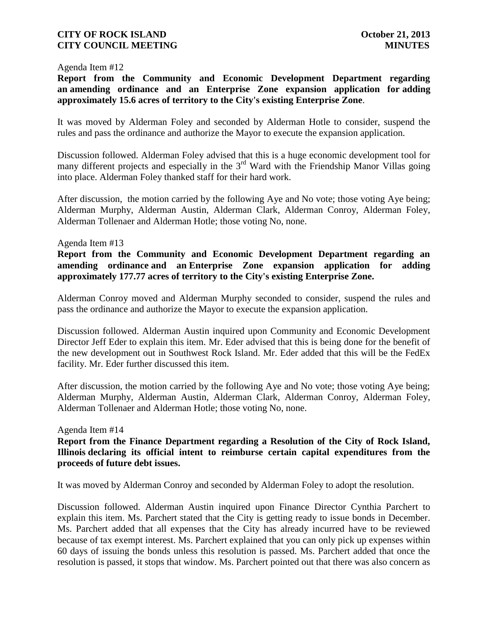#### Agenda Item #12

**Report from the Community and Economic Development Department regarding an amending ordinance and an Enterprise Zone expansion application for adding approximately 15.6 acres of territory to the City's existing Enterprise Zone**.

It was moved by Alderman Foley and seconded by Alderman Hotle to consider, suspend the rules and pass the ordinance and authorize the Mayor to execute the expansion application.

Discussion followed. Alderman Foley advised that this is a huge economic development tool for many different projects and especially in the  $3<sup>rd</sup>$  Ward with the Friendship Manor Villas going into place. Alderman Foley thanked staff for their hard work.

After discussion, the motion carried by the following Aye and No vote; those voting Aye being; Alderman Murphy, Alderman Austin, Alderman Clark, Alderman Conroy, Alderman Foley, Alderman Tollenaer and Alderman Hotle; those voting No, none.

#### Agenda Item #13

**Report from the Community and Economic Development Department regarding an amending ordinance and an Enterprise Zone expansion application for adding approximately 177.77 acres of territory to the City's existing Enterprise Zone.** 

Alderman Conroy moved and Alderman Murphy seconded to consider, suspend the rules and pass the ordinance and authorize the Mayor to execute the expansion application.

Discussion followed. Alderman Austin inquired upon Community and Economic Development Director Jeff Eder to explain this item. Mr. Eder advised that this is being done for the benefit of the new development out in Southwest Rock Island. Mr. Eder added that this will be the FedEx facility. Mr. Eder further discussed this item.

After discussion, the motion carried by the following Aye and No vote; those voting Aye being; Alderman Murphy, Alderman Austin, Alderman Clark, Alderman Conroy, Alderman Foley, Alderman Tollenaer and Alderman Hotle; those voting No, none.

#### Agenda Item #14

**Report from the Finance Department regarding a Resolution of the City of Rock Island, Illinois declaring its official intent to reimburse certain capital expenditures from the proceeds of future debt issues.** 

It was moved by Alderman Conroy and seconded by Alderman Foley to adopt the resolution.

Discussion followed. Alderman Austin inquired upon Finance Director Cynthia Parchert to explain this item. Ms. Parchert stated that the City is getting ready to issue bonds in December. Ms. Parchert added that all expenses that the City has already incurred have to be reviewed because of tax exempt interest. Ms. Parchert explained that you can only pick up expenses within 60 days of issuing the bonds unless this resolution is passed. Ms. Parchert added that once the resolution is passed, it stops that window. Ms. Parchert pointed out that there was also concern as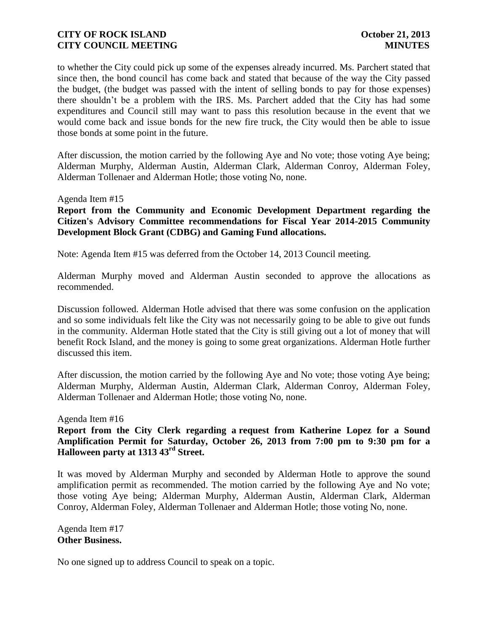to whether the City could pick up some of the expenses already incurred. Ms. Parchert stated that since then, the bond council has come back and stated that because of the way the City passed the budget, (the budget was passed with the intent of selling bonds to pay for those expenses) there shouldn't be a problem with the IRS. Ms. Parchert added that the City has had some expenditures and Council still may want to pass this resolution because in the event that we would come back and issue bonds for the new fire truck, the City would then be able to issue those bonds at some point in the future.

After discussion, the motion carried by the following Aye and No vote; those voting Aye being; Alderman Murphy, Alderman Austin, Alderman Clark, Alderman Conroy, Alderman Foley, Alderman Tollenaer and Alderman Hotle; those voting No, none.

#### Agenda Item #15

**Report from the Community and Economic Development Department regarding the Citizen's Advisory Committee recommendations for Fiscal Year 2014-2015 Community Development Block Grant (CDBG) and Gaming Fund allocations.**

Note: Agenda Item #15 was deferred from the October 14, 2013 Council meeting.

Alderman Murphy moved and Alderman Austin seconded to approve the allocations as recommended.

Discussion followed. Alderman Hotle advised that there was some confusion on the application and so some individuals felt like the City was not necessarily going to be able to give out funds in the community. Alderman Hotle stated that the City is still giving out a lot of money that will benefit Rock Island, and the money is going to some great organizations. Alderman Hotle further discussed this item.

After discussion, the motion carried by the following Aye and No vote; those voting Aye being; Alderman Murphy, Alderman Austin, Alderman Clark, Alderman Conroy, Alderman Foley, Alderman Tollenaer and Alderman Hotle; those voting No, none.

Agenda Item #16

**Report from the City Clerk regarding a request from Katherine Lopez for a Sound Amplification Permit for Saturday, October 26, 2013 from 7:00 pm to 9:30 pm for a Halloween party at 1313 43rd Street.**

It was moved by Alderman Murphy and seconded by Alderman Hotle to approve the sound amplification permit as recommended. The motion carried by the following Aye and No vote; those voting Aye being; Alderman Murphy, Alderman Austin, Alderman Clark, Alderman Conroy, Alderman Foley, Alderman Tollenaer and Alderman Hotle; those voting No, none.

Agenda Item #17 **Other Business.**

No one signed up to address Council to speak on a topic.